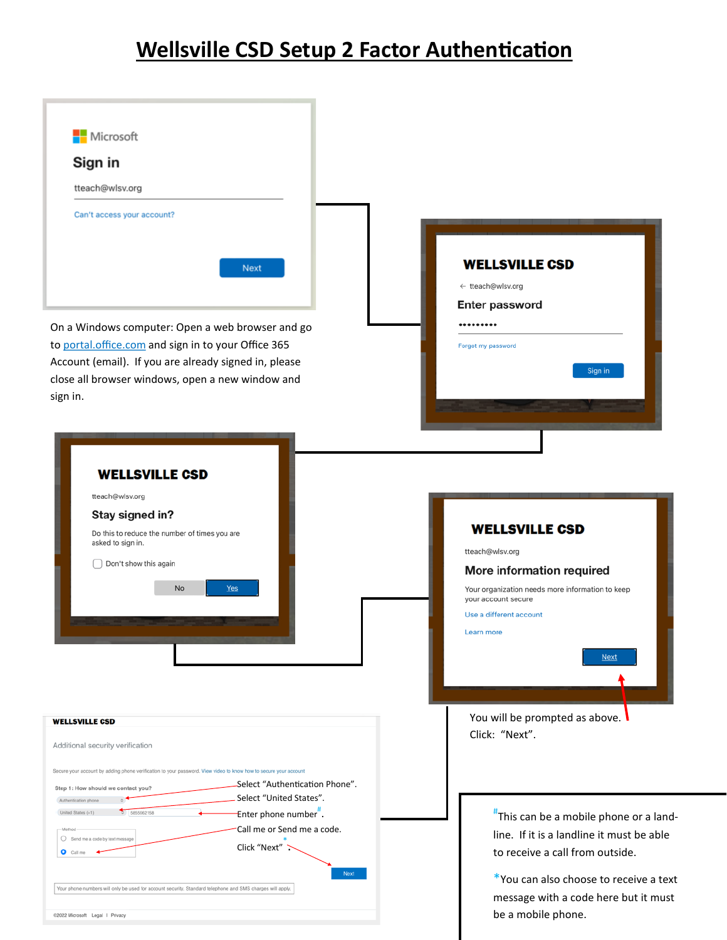## **Wellsville CSD Setup 2 Factor Authentication**

| Microsoft                                                                                                                                                                                                                                                                                              |                                                                                                                                                                                                          |
|--------------------------------------------------------------------------------------------------------------------------------------------------------------------------------------------------------------------------------------------------------------------------------------------------------|----------------------------------------------------------------------------------------------------------------------------------------------------------------------------------------------------------|
| Sign in                                                                                                                                                                                                                                                                                                |                                                                                                                                                                                                          |
| tteach@wlsv.org                                                                                                                                                                                                                                                                                        |                                                                                                                                                                                                          |
| Can't access your account?                                                                                                                                                                                                                                                                             |                                                                                                                                                                                                          |
| <b>Next</b>                                                                                                                                                                                                                                                                                            | <b>WELLSVILLE CSD</b><br>← tteach@wlsv.org<br><b>Enter password</b>                                                                                                                                      |
| On a Windows computer: Open a web browser and go<br>to portal.office.com and sign in to your Office 365<br>Account (email). If you are already signed in, please<br>close all browser windows, open a new window and                                                                                   | <br>Forgot my password<br>Sign in                                                                                                                                                                        |
| sign in.                                                                                                                                                                                                                                                                                               |                                                                                                                                                                                                          |
| <b>WELLSVILLE CSD</b><br>tteach@wlsv.org<br>Stay signed in?<br>Do this to reduce the number of times you are<br>asked to sign in.<br>Don't show this again<br><b>No</b><br>Yes                                                                                                                         | <b>WELLSVILLE CSD</b><br>tteach@wlsv.org<br>More information required<br>Your organization needs more information to keep<br>your account secure<br>Use a different account<br>Learn more<br><b>Next</b> |
| <b>WELLSVILLE CSD</b><br>Additional security verification                                                                                                                                                                                                                                              | You will be prompted as above.<br>Click: "Next".                                                                                                                                                         |
| Secure your account by adding phone verification to your password. View video to know how to secure your account                                                                                                                                                                                       |                                                                                                                                                                                                          |
| -Select "Authentication Phone".<br>Step 1: How should we contact you?<br>Select "United States".<br>Authentication phone<br>United States (+1)<br>5855962158<br>Enter phone number".<br>Call me or Send me a code.<br>-Method<br>Send me a code by text message<br>Click "Next"<br>$O$ Call me<br>Next | "This can be a mobile phone or a land-<br>line. If it is a landline it must be able<br>to receive a call from outside.<br>*You can also choose to receive a text                                         |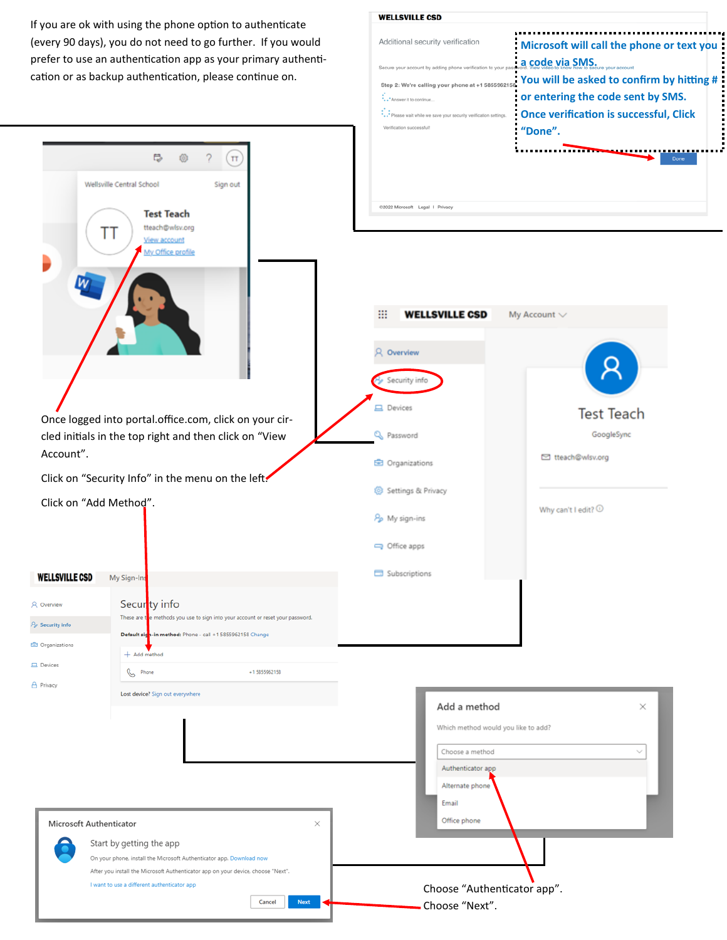If you are ok with using the phone option to authenticate (every 90 days), you do not need to go further. If you would prefer to use an authentication app as your primary authentication or as backup authentication, please continue on.

₩

 $\gamma$ 

 $\pi$ 

 $\overline{\mathbb{C}}$ 

| Additional security verification                                  | : Microsoft will call the phone or text you   |
|-------------------------------------------------------------------|-----------------------------------------------|
| Secure your account by adding phone verification to your pa       | <b>a code via SMS</b> Secure your account     |
| Step 2: We're calling your phone at +1 5855962158.                | You will be asked to confirm by hitting #     |
| Answer it to continue                                             | or entering the code sent by SMS.             |
| ** Please wait while we save your security verification settings. | <b>Once verification is successful, Click</b> |
| Verification successful!                                          | "Done".                                       |
|                                                                   |                                               |
|                                                                   | Done                                          |
|                                                                   |                                               |

|                                                                             | Sign out<br>Wellsville Central School<br><b>Test Teach</b>                                                                      |                       | @2022 Microsoft Legal   Privacy               |                                 |
|-----------------------------------------------------------------------------|---------------------------------------------------------------------------------------------------------------------------------|-----------------------|-----------------------------------------------|---------------------------------|
|                                                                             | tteach@wlsv.org<br>TΤ<br>View account<br>My Office profile                                                                      |                       |                                               |                                 |
|                                                                             |                                                                                                                                 |                       | ₩<br><b>WELLSVILLE CSD</b>                    | My Account $\smile$             |
|                                                                             |                                                                                                                                 |                       | <b>Q</b> Overview                             |                                 |
|                                                                             |                                                                                                                                 |                       | Security info<br><b>二</b> Devices             |                                 |
|                                                                             | Once logged into portal.office.com, click on your cir-<br>cled initials in the top right and then click on "View                |                       | Q Password                                    | <b>Test Teach</b><br>GoogleSync |
| Account".                                                                   |                                                                                                                                 |                       | <b>E</b> Organizations                        | □ tteach@wlsv.org               |
| Click on "Security Info" in the menu on the left.<br>Click on "Add Method". |                                                                                                                                 |                       | Settings & Privacy                            | Why can't I edit? $\odot$       |
|                                                                             |                                                                                                                                 |                       | Po My sign-ins<br>Office apps                 |                                 |
| <b>WELLSVILLE CSD</b>                                                       |                                                                                                                                 |                       | Subscriptions                                 |                                 |
|                                                                             | My Sign-Ins                                                                                                                     |                       |                                               |                                 |
| R Overview                                                                  | Securty info<br>These are to enethods you use to sign into your account or reset your password.                                 |                       |                                               |                                 |
| A <sub>2</sub> Security info                                                | Default sigh-in method: Phone - call +1 5855962158 Change                                                                       |                       |                                               |                                 |
| <b>C</b> Organizations                                                      | $+$ Add method                                                                                                                  |                       |                                               |                                 |
| <b>二</b> Devices                                                            | B<br>Phone                                                                                                                      | +15855962158          |                                               |                                 |
| A Privacy                                                                   | Lost device? Sign out everywhere                                                                                                |                       |                                               |                                 |
|                                                                             |                                                                                                                                 |                       | Add a method                                  | ×                               |
|                                                                             |                                                                                                                                 |                       | Which method would you like to add?           |                                 |
|                                                                             |                                                                                                                                 |                       | Choose a method                               |                                 |
|                                                                             |                                                                                                                                 |                       | Authenticator app                             |                                 |
|                                                                             |                                                                                                                                 |                       | Alternate phone                               |                                 |
|                                                                             |                                                                                                                                 |                       | Email                                         |                                 |
|                                                                             | Microsoft Authenticator                                                                                                         | ×                     | Office phone                                  |                                 |
|                                                                             | Start by getting the app                                                                                                        |                       |                                               |                                 |
|                                                                             | On your phone, install the Microsoft Authenticator app. Download now                                                            |                       |                                               |                                 |
|                                                                             | After you install the Microsoft Authenticator app on your device, choose "Next".<br>I want to use a different authenticator app |                       |                                               |                                 |
|                                                                             |                                                                                                                                 | Cancel<br><b>Next</b> | Choose "Authenticator app".<br>Choose "Next". |                                 |
|                                                                             |                                                                                                                                 |                       |                                               |                                 |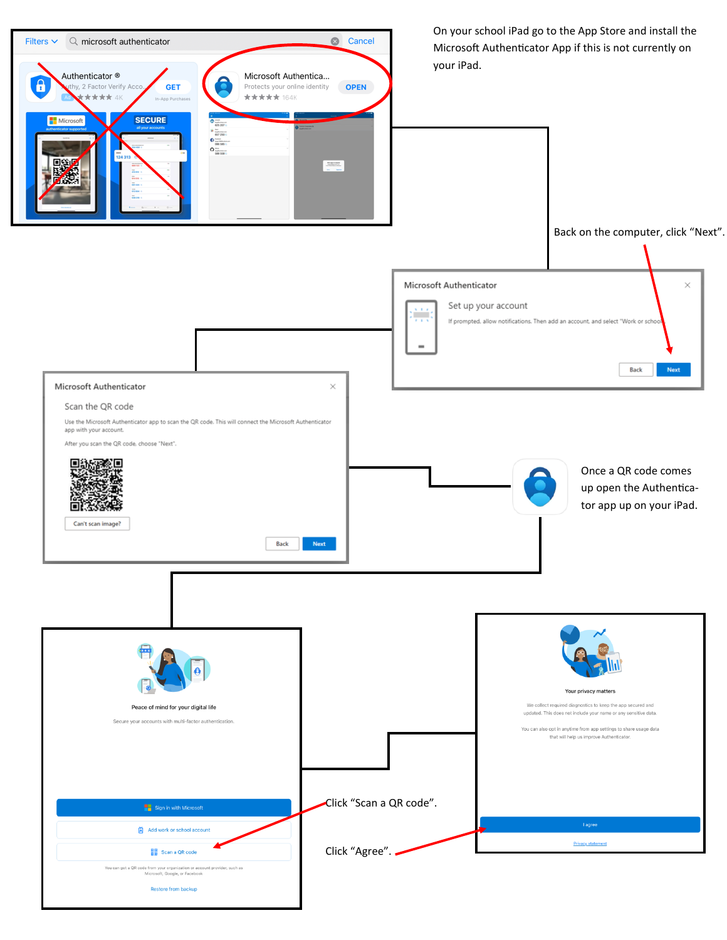